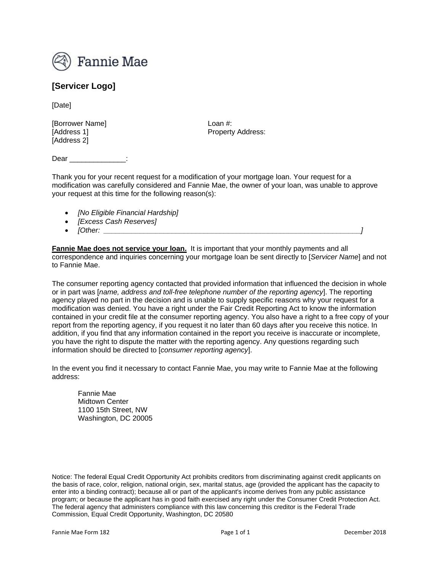

## **[Servicer Logo]**

[Date]

[Borrower Name] Loan #: [Address 2]

[Address 1] Property Address:

Dear \_\_\_\_\_\_\_\_\_\_\_\_\_:

Thank you for your recent request for a modification of your mortgage loan. Your request for a modification was carefully considered and Fannie Mae, the owner of your loan, was unable to approve your request at this time for the following reason(s):

- *[No Eligible Financial Hardship]*
- *[Excess Cash Reserves]*
- *[Other: \_\_\_\_\_\_\_\_\_\_\_\_\_\_\_\_\_\_\_\_\_\_\_\_\_\_\_\_\_\_\_\_\_\_\_\_\_\_\_\_\_\_\_\_\_\_\_\_\_\_\_\_\_\_\_\_\_\_\_\_\_\_\_\_]*

**Fannie Mae does not service your loan.** It is important that your monthly payments and all correspondence and inquiries concerning your mortgage loan be sent directly to [*Servicer Name*] and not to Fannie Mae.

The consumer reporting agency contacted that provided information that influenced the decision in whole or in part was [*name, address and toll-free telephone number of the reporting agency*]. The reporting agency played no part in the decision and is unable to supply specific reasons why your request for a modification was denied. You have a right under the Fair Credit Reporting Act to know the information contained in your credit file at the consumer reporting agency. You also have a right to a free copy of your report from the reporting agency, if you request it no later than 60 days after you receive this notice. In addition, if you find that any information contained in the report you receive is inaccurate or incomplete, you have the right to dispute the matter with the reporting agency. Any questions regarding such information should be directed to [*consumer reporting agency*].

In the event you find it necessary to contact Fannie Mae, you may write to Fannie Mae at the following address:

Fannie Mae Midtown Center 1100 15th Street, NW Washington, DC 20005

Notice: The federal Equal Credit Opportunity Act prohibits creditors from discriminating against credit applicants on the basis of race, color, religion, national origin, sex, marital status, age (provided the applicant has the capacity to enter into a binding contract); because all or part of the applicant's income derives from any public assistance program; or because the applicant has in good faith exercised any right under the Consumer Credit Protection Act. The federal agency that administers compliance with this law concerning this creditor is the Federal Trade Commission, Equal Credit Opportunity, Washington, DC 20580